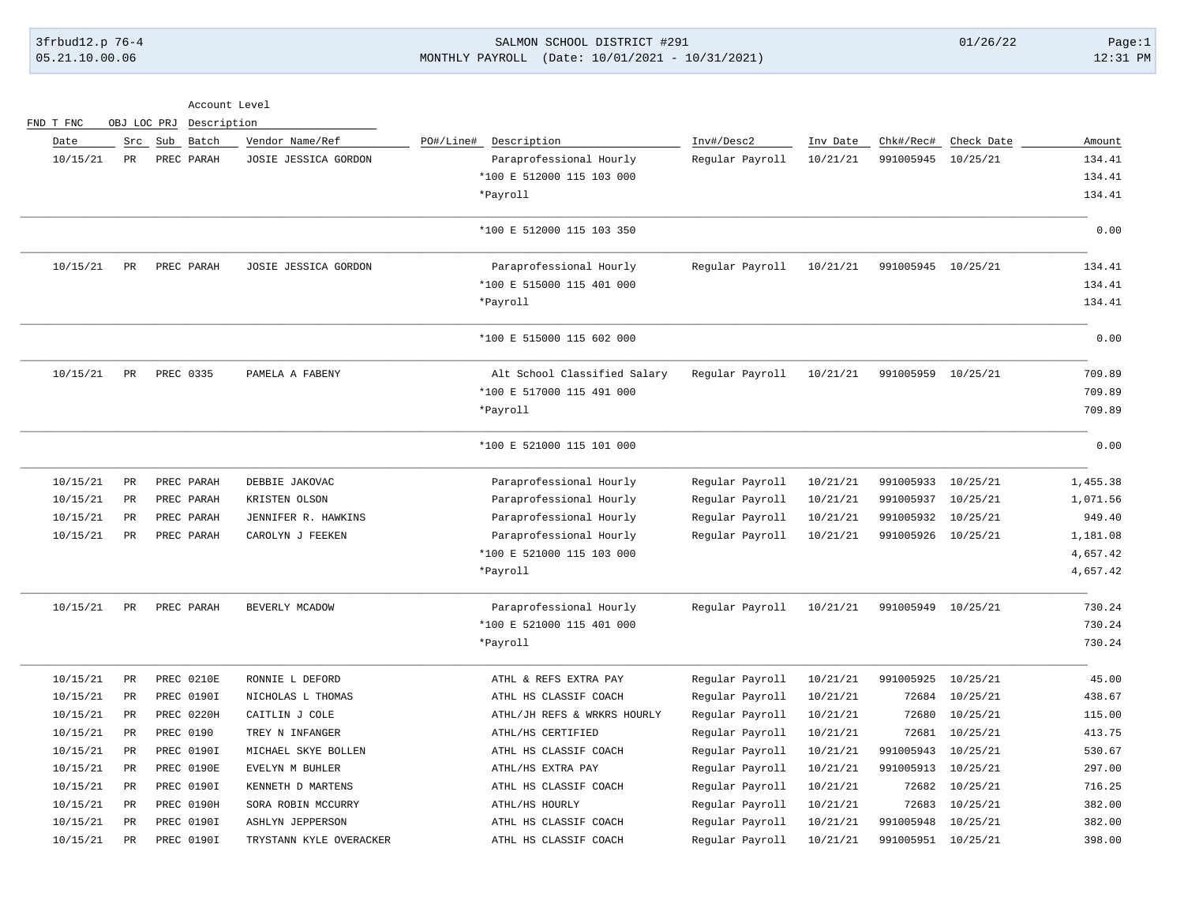3frbud12.p 76-4 SALMON SCHOOL DISTRICT #291 01/26/22 Page:1 05.21.10.00.06 MONTHLY PAYROLL (Date: 10/01/2021 - 10/31/2021) 12:31 PM

| Account Level |  |
|---------------|--|
|               |  |

| FND T FNC | OBJ LOC PRJ |                   | Description             |           |                              |                 |          |                    |            |          |
|-----------|-------------|-------------------|-------------------------|-----------|------------------------------|-----------------|----------|--------------------|------------|----------|
| Date      |             | Src Sub Batch     | Vendor Name/Ref         | PO#/Line# | Description                  | Inv#/Desc2      | Inv Date | Chk#/Rec#          | Check Date | Amount   |
| 10/15/21  | PR          | PREC PARAH        | JOSIE JESSICA GORDON    |           | Paraprofessional Hourly      | Regular Payroll | 10/21/21 | 991005945          | 10/25/21   | 134.41   |
|           |             |                   |                         |           | *100 E 512000 115 103 000    |                 |          |                    |            | 134.41   |
|           |             |                   |                         |           | *Payroll                     |                 |          |                    |            | 134.41   |
|           |             |                   |                         |           | *100 E 512000 115 103 350    |                 |          |                    |            | 0.00     |
| 10/15/21  | PR          | PREC PARAH        | JOSIE JESSICA GORDON    |           | Paraprofessional Hourly      | Regular Payroll | 10/21/21 | 991005945 10/25/21 |            | 134.41   |
|           |             |                   |                         |           | *100 E 515000 115 401 000    |                 |          |                    |            | 134.41   |
|           |             |                   |                         |           | *Payroll                     |                 |          |                    |            | 134.41   |
|           |             |                   |                         |           | *100 E 515000 115 602 000    |                 |          |                    |            | 0.00     |
| 10/15/21  | PR          | PREC 0335         | PAMELA A FABENY         |           | Alt School Classified Salary | Regular Payroll | 10/21/21 | 991005959 10/25/21 |            | 709.89   |
|           |             |                   |                         |           | *100 E 517000 115 491 000    |                 |          |                    |            | 709.89   |
|           |             |                   |                         |           | *Payroll                     |                 |          |                    |            | 709.89   |
|           |             |                   |                         |           | *100 E 521000 115 101 000    |                 |          |                    |            | 0.00     |
| 10/15/21  | PR          | PREC PARAH        | DEBBIE JAKOVAC          |           | Paraprofessional Hourly      | Regular Payroll | 10/21/21 | 991005933          | 10/25/21   | 1,455.38 |
| 10/15/21  | PR          | PREC PARAH        | KRISTEN OLSON           |           | Paraprofessional Hourly      | Regular Payroll | 10/21/21 | 991005937          | 10/25/21   | 1,071.56 |
| 10/15/21  | PR          | PREC PARAH        | JENNIFER R. HAWKINS     |           | Paraprofessional Hourly      | Regular Payroll | 10/21/21 | 991005932          | 10/25/21   | 949.40   |
| 10/15/21  | $_{\rm PR}$ | PREC PARAH        | CAROLYN J FEEKEN        |           | Paraprofessional Hourly      | Regular Payroll | 10/21/21 | 991005926          | 10/25/21   | 1,181.08 |
|           |             |                   |                         |           | *100 E 521000 115 103 000    |                 |          |                    |            | 4,657.42 |
|           |             |                   |                         |           | *Payroll                     |                 |          |                    |            | 4,657.42 |
| 10/15/21  | $_{\rm PR}$ | PREC PARAH        | BEVERLY MCADOW          |           | Paraprofessional Hourly      | Regular Payroll | 10/21/21 | 991005949 10/25/21 |            | 730.24   |
|           |             |                   |                         |           | *100 E 521000 115 401 000    |                 |          |                    |            | 730.24   |
|           |             |                   |                         |           | *Payroll                     |                 |          |                    |            | 730.24   |
| 10/15/21  | PR          | PREC 0210E        | RONNIE L DEFORD         |           | ATHL & REFS EXTRA PAY        | Regular Payroll | 10/21/21 | 991005925          | 10/25/21   | 45.00    |
| 10/15/21  | PR          | PREC 0190I        | NICHOLAS L THOMAS       |           | ATHL HS CLASSIF COACH        | Regular Payroll | 10/21/21 | 72684              | 10/25/21   | 438.67   |
| 10/15/21  | PR          | <b>PREC 0220H</b> | CAITLIN J COLE          |           | ATHL/JH REFS & WRKRS HOURLY  | Regular Payroll | 10/21/21 | 72680              | 10/25/21   | 115.00   |
| 10/15/21  | PR          | PREC 0190         | TREY N INFANGER         |           | ATHL/HS CERTIFIED            | Regular Payroll | 10/21/21 | 72681              | 10/25/21   | 413.75   |
| 10/15/21  | PR          | PREC 0190I        | MICHAEL SKYE BOLLEN     |           | ATHL HS CLASSIF COACH        | Regular Payroll | 10/21/21 | 991005943          | 10/25/21   | 530.67   |
| 10/15/21  | PR          | PREC 0190E        | EVELYN M BUHLER         |           | ATHL/HS EXTRA PAY            | Regular Payroll | 10/21/21 | 991005913          | 10/25/21   | 297.00   |
| 10/15/21  | PR          | PREC 0190I        | KENNETH D MARTENS       |           | ATHL HS CLASSIF COACH        | Regular Payroll | 10/21/21 | 72682              | 10/25/21   | 716.25   |
| 10/15/21  | $_{\rm PR}$ | PREC 0190H        | SORA ROBIN MCCURRY      |           | ATHL/HS HOURLY               | Regular Payroll | 10/21/21 | 72683              | 10/25/21   | 382.00   |
| 10/15/21  | PR          | PREC 0190I        | <b>ASHLYN JEPPERSON</b> |           | ATHL HS CLASSIF COACH        | Regular Payroll | 10/21/21 | 991005948          | 10/25/21   | 382.00   |
| 10/15/21  | $_{\rm PR}$ | PREC 01901        | TRYSTANN KYLE OVERACKER |           | ATHL HS CLASSIF COACH        | Regular Payroll | 10/21/21 | 991005951 10/25/21 |            | 398.00   |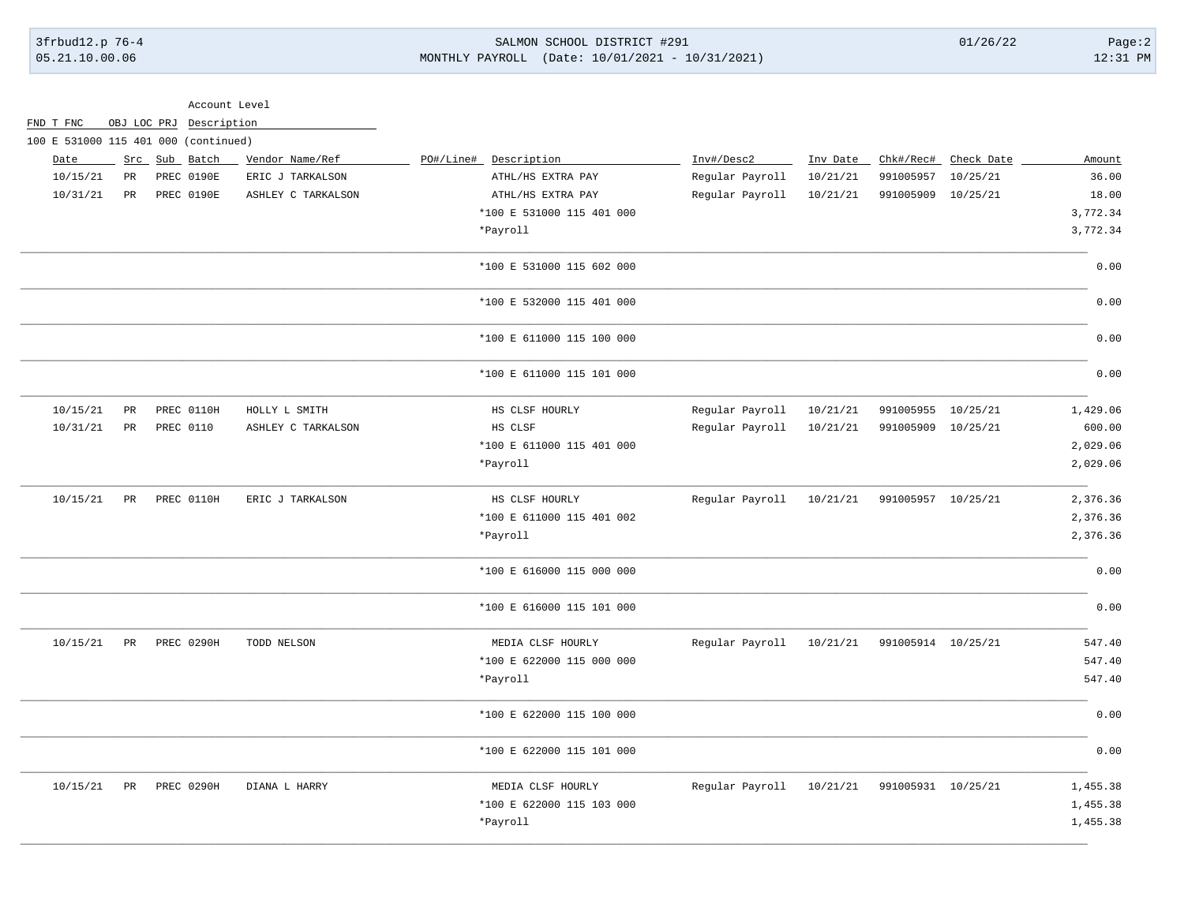# 3frbud12.p 76-4 SALMON SCHOOL DISTRICT #291 01/26/22 Page:2 05.21.10.00.06 MONTHLY PAYROLL (Date: 10/01/2021 - 10/31/2021) 12:31 PM

|                                      |    | Account Level           |                    |                           |                 |          |                    |                      |          |
|--------------------------------------|----|-------------------------|--------------------|---------------------------|-----------------|----------|--------------------|----------------------|----------|
| FND T FNC                            |    | OBJ LOC PRJ Description |                    |                           |                 |          |                    |                      |          |
| 100 E 531000 115 401 000 (continued) |    |                         |                    |                           |                 |          |                    |                      |          |
| Date                                 |    | Src Sub Batch           | Vendor Name/Ref    | PO#/Line# Description     | Inv#/Desc2      | Inv Date |                    | Chk#/Rec# Check Date | Amount   |
| 10/15/21                             | PR | PREC 0190E              | ERIC J TARKALSON   | ATHL/HS EXTRA PAY         | Regular Payroll | 10/21/21 | 991005957          | 10/25/21             | 36.00    |
| 10/31/21                             | PR | PREC 0190E              | ASHLEY C TARKALSON | ATHL/HS EXTRA PAY         | Regular Payroll | 10/21/21 | 991005909          | 10/25/21             | 18.00    |
|                                      |    |                         |                    | *100 E 531000 115 401 000 |                 |          |                    |                      | 3,772.34 |
|                                      |    |                         |                    | *Payroll                  |                 |          |                    |                      | 3,772.34 |
|                                      |    |                         |                    | *100 E 531000 115 602 000 |                 |          |                    |                      | 0.00     |
|                                      |    |                         |                    | *100 E 532000 115 401 000 |                 |          |                    |                      | 0.00     |
|                                      |    |                         |                    | *100 E 611000 115 100 000 |                 |          |                    |                      | 0.00     |
|                                      |    |                         |                    | *100 E 611000 115 101 000 |                 |          |                    |                      | 0.00     |
| 10/15/21                             | PR | PREC 0110H              | HOLLY L SMITH      | HS CLSF HOURLY            | Regular Payroll | 10/21/21 | 991005955 10/25/21 |                      | 1,429.06 |
| 10/31/21                             | PR | PREC 0110               | ASHLEY C TARKALSON | HS CLSF                   | Regular Payroll | 10/21/21 | 991005909 10/25/21 |                      | 600.00   |
|                                      |    |                         |                    | *100 E 611000 115 401 000 |                 |          |                    |                      | 2,029.06 |
|                                      |    |                         |                    | *Payroll                  |                 |          |                    |                      | 2,029.06 |
| 10/15/21                             | PR | PREC 0110H              | ERIC J TARKALSON   | HS CLSF HOURLY            | Regular Payroll | 10/21/21 | 991005957 10/25/21 |                      | 2,376.36 |
|                                      |    |                         |                    | *100 E 611000 115 401 002 |                 |          |                    |                      | 2,376.36 |
|                                      |    |                         |                    | *Payroll                  |                 |          |                    |                      | 2,376.36 |
|                                      |    |                         |                    | *100 E 616000 115 000 000 |                 |          |                    |                      | 0.00     |
|                                      |    |                         |                    | *100 E 616000 115 101 000 |                 |          |                    |                      | 0.00     |
| 10/15/21                             | PR | PREC 0290H              | TODD NELSON        | MEDIA CLSF HOURLY         | Regular Payroll | 10/21/21 | 991005914 10/25/21 |                      | 547.40   |
|                                      |    |                         |                    | *100 E 622000 115 000 000 |                 |          |                    |                      | 547.40   |
|                                      |    |                         |                    | *Payroll                  |                 |          |                    |                      | 547.40   |
|                                      |    |                         |                    | *100 E 622000 115 100 000 |                 |          |                    |                      | 0.00     |
|                                      |    |                         |                    | *100 E 622000 115 101 000 |                 |          |                    |                      | 0.00     |
| 10/15/21                             | PR | PREC 0290H              | DIANA L HARRY      | MEDIA CLSF HOURLY         | Regular Payroll | 10/21/21 | 991005931 10/25/21 |                      | 1,455.38 |
|                                      |    |                         |                    | *100 E 622000 115 103 000 |                 |          |                    |                      | 1,455.38 |
|                                      |    |                         |                    | *Payroll                  |                 |          |                    |                      | 1,455.38 |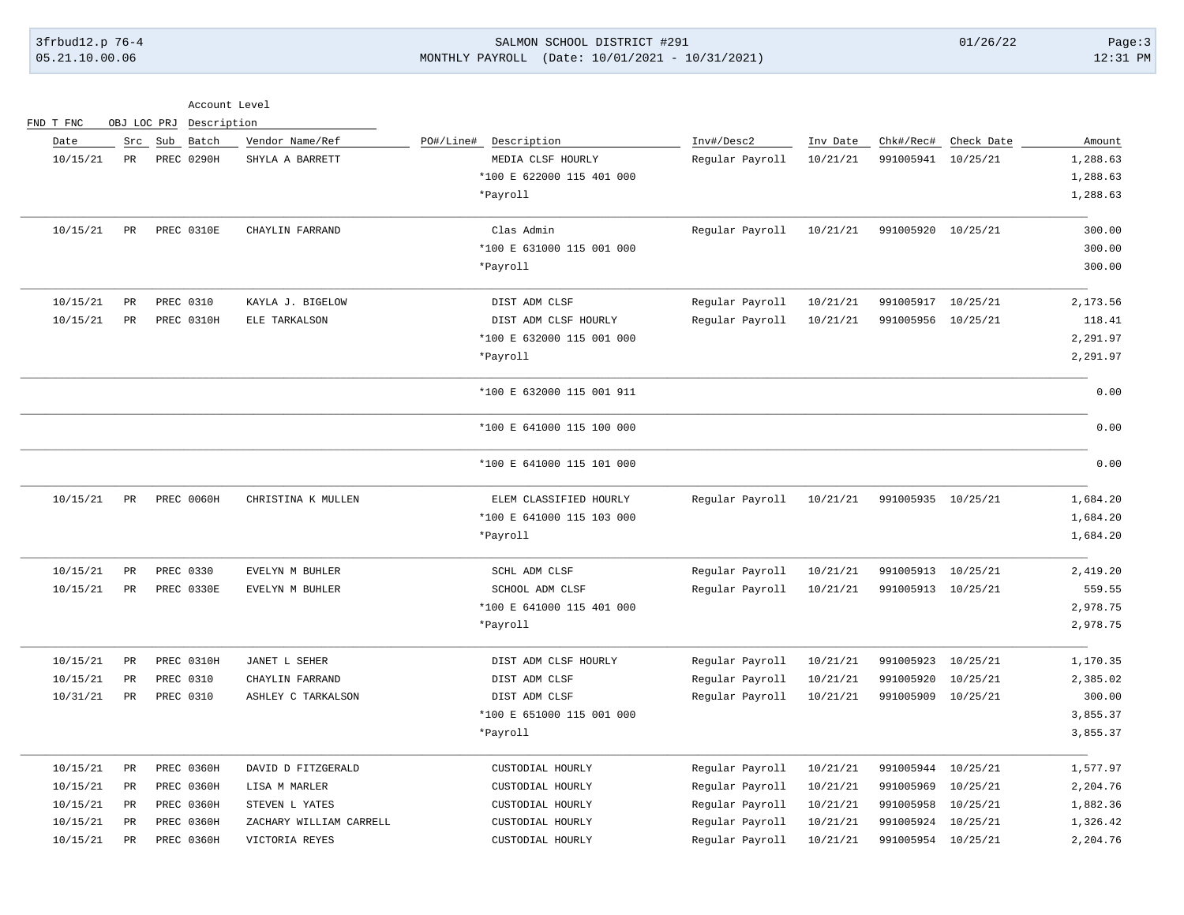## 3frbud12.p 76-4 SALMON SCHOOL DISTRICT #291 01/26/22 Page:3 05.21.10.00.06 MONTHLY PAYROLL (Date: 10/01/2021 - 10/31/2021) 12:31 PM

| Account Level |  |
|---------------|--|
|               |  |

| FND T FNC | OBJ LOC PRJ   |                   | Description |                         |           |                           |                 |          |                    |            |          |
|-----------|---------------|-------------------|-------------|-------------------------|-----------|---------------------------|-----------------|----------|--------------------|------------|----------|
| Date      |               | Src Sub           | Batch       | Vendor Name/Ref         | PO#/Line# | Description               | Inv#/Desc2      | Inv Date | Chk#/Rec#          | Check Date | Amount   |
| 10/15/21  | PR            | <b>PREC 0290H</b> |             | SHYLA A BARRETT         |           | MEDIA CLSF HOURLY         | Regular Payroll | 10/21/21 | 991005941          | 10/25/21   | 1,288.63 |
|           |               |                   |             |                         |           | *100 E 622000 115 401 000 |                 |          |                    |            | 1,288.63 |
|           |               |                   |             |                         |           | *Payroll                  |                 |          |                    |            | 1,288.63 |
| 10/15/21  | PR            | PREC 0310E        |             | CHAYLIN FARRAND         |           | Clas Admin                | Regular Payroll | 10/21/21 | 991005920          | 10/25/21   | 300.00   |
|           |               |                   |             |                         |           | *100 E 631000 115 001 000 |                 |          |                    |            | 300.00   |
|           |               |                   |             |                         |           | *Payroll                  |                 |          |                    |            | 300.00   |
| 10/15/21  | $\mathtt{PR}$ | PREC 0310         |             | KAYLA J. BIGELOW        |           | DIST ADM CLSF             | Regular Payroll | 10/21/21 | 991005917          | 10/25/21   | 2,173.56 |
| 10/15/21  | PR            | PREC 0310H        |             | ELE TARKALSON           |           | DIST ADM CLSF HOURLY      | Regular Payroll | 10/21/21 | 991005956          | 10/25/21   | 118.41   |
|           |               |                   |             |                         |           | *100 E 632000 115 001 000 |                 |          |                    |            | 2,291.97 |
|           |               |                   |             |                         |           | *Payroll                  |                 |          |                    |            | 2,291.97 |
|           |               |                   |             |                         |           | *100 E 632000 115 001 911 |                 |          |                    |            | 0.00     |
|           |               |                   |             |                         |           | *100 E 641000 115 100 000 |                 |          |                    |            | 0.00     |
|           |               |                   |             |                         |           | *100 E 641000 115 101 000 |                 |          |                    |            | 0.00     |
| 10/15/21  | PR            | PREC 0060H        |             | CHRISTINA K MULLEN      |           | ELEM CLASSIFIED HOURLY    | Regular Payroll | 10/21/21 | 991005935          | 10/25/21   | 1,684.20 |
|           |               |                   |             |                         |           | *100 E 641000 115 103 000 |                 |          |                    |            | 1,684.20 |
|           |               |                   |             |                         |           | *Payroll                  |                 |          |                    |            | 1,684.20 |
| 10/15/21  | $\mathtt{PR}$ | PREC 0330         |             | EVELYN M BUHLER         |           | SCHL ADM CLSF             | Regular Payroll | 10/21/21 | 991005913          | 10/25/21   | 2,419.20 |
| 10/15/21  | $_{\rm PR}$   | PREC 0330E        |             | EVELYN M BUHLER         |           | SCHOOL ADM CLSF           | Regular Payroll | 10/21/21 | 991005913 10/25/21 |            | 559.55   |
|           |               |                   |             |                         |           | *100 E 641000 115 401 000 |                 |          |                    |            | 2,978.75 |
|           |               |                   |             |                         |           | *Payroll                  |                 |          |                    |            | 2,978.75 |
| 10/15/21  | <b>PR</b>     | PREC 0310H        |             | JANET L SEHER           |           | DIST ADM CLSF HOURLY      | Regular Payroll | 10/21/21 | 991005923          | 10/25/21   | 1,170.35 |
| 10/15/21  | $_{\rm PR}$   | PREC 0310         |             | CHAYLIN FARRAND         |           | DIST ADM CLSF             | Regular Payroll | 10/21/21 | 991005920          | 10/25/21   | 2,385.02 |
| 10/31/21  | PR            | PREC 0310         |             | ASHLEY C TARKALSON      |           | DIST ADM CLSF             | Regular Payroll | 10/21/21 | 991005909          | 10/25/21   | 300.00   |
|           |               |                   |             |                         |           | *100 E 651000 115 001 000 |                 |          |                    |            | 3,855.37 |
|           |               |                   |             |                         |           | *Payroll                  |                 |          |                    |            | 3,855.37 |
| 10/15/21  | $_{\rm PR}$   | PREC 0360H        |             | DAVID D FITZGERALD      |           | CUSTODIAL HOURLY          | Regular Payroll | 10/21/21 | 991005944          | 10/25/21   | 1,577.97 |
| 10/15/21  | PR            | PREC 0360H        |             | LISA M MARLER           |           | CUSTODIAL HOURLY          | Regular Payroll | 10/21/21 | 991005969          | 10/25/21   | 2,204.76 |
| 10/15/21  | PR            | PREC 0360H        |             | STEVEN L YATES          |           | CUSTODIAL HOURLY          | Regular Payroll | 10/21/21 | 991005958          | 10/25/21   | 1,882.36 |
| 10/15/21  | PR            |                   | PREC 0360H  | ZACHARY WILLIAM CARRELL |           | CUSTODIAL HOURLY          | Regular Payroll | 10/21/21 | 991005924          | 10/25/21   | 1,326.42 |
| 10/15/21  | $_{\rm PR}$   |                   | PREC 0360H  | VICTORIA REYES          |           | CUSTODIAL HOURLY          | Regular Payroll | 10/21/21 | 991005954 10/25/21 |            | 2,204.76 |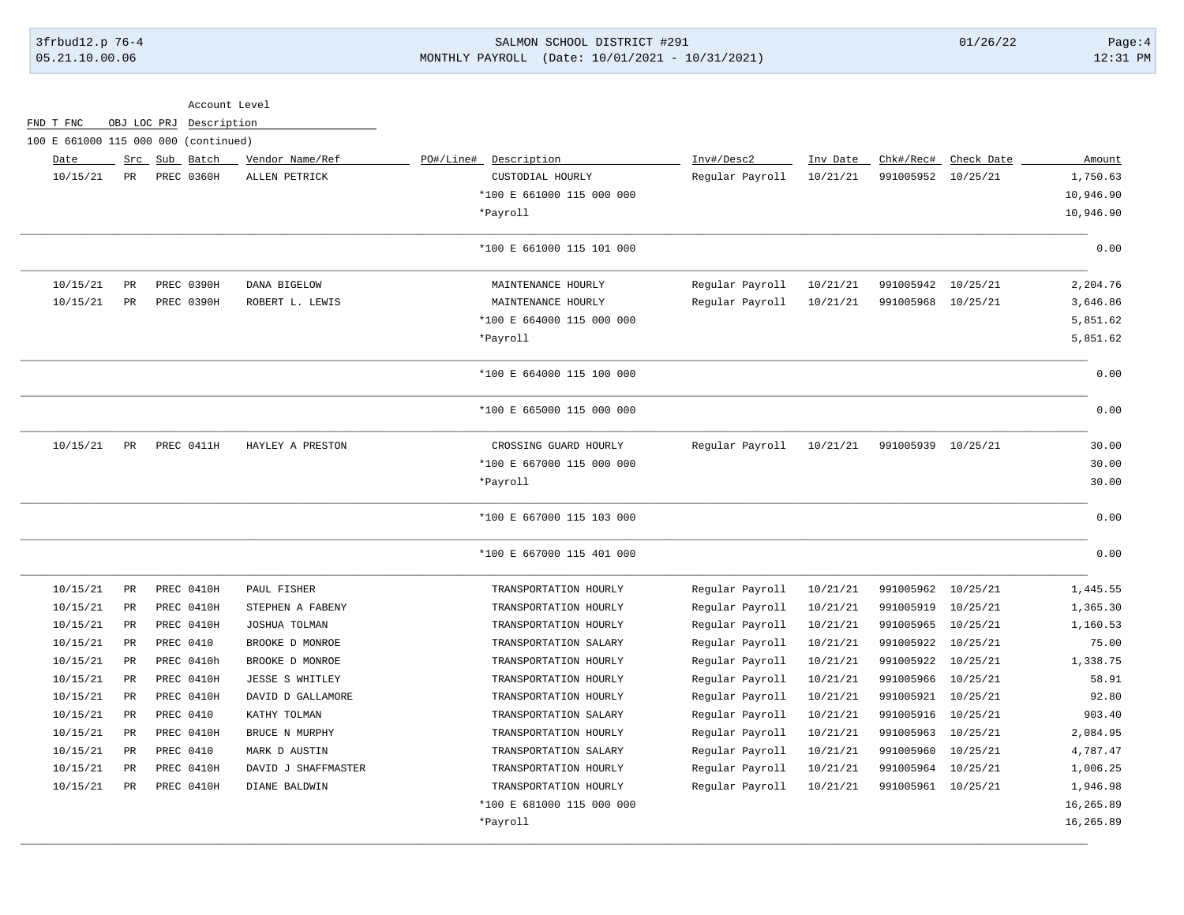# 3frbud12.p 76-4 SALMON SCHOOL DISTRICT #291 01/26/22 Page:4 05.21.10.00.06 MONTHLY PAYROLL (Date: 10/01/2021 - 10/31/2021) 12:31 PM

|                                      |             |             | Account Level |                     |                           |                 |          |                    |                      |           |
|--------------------------------------|-------------|-------------|---------------|---------------------|---------------------------|-----------------|----------|--------------------|----------------------|-----------|
| FND T FNC                            |             | OBJ LOC PRJ | Description   |                     |                           |                 |          |                    |                      |           |
| 100 E 661000 115 000 000 (continued) |             |             |               |                     |                           |                 |          |                    |                      |           |
| Date                                 |             |             | Src Sub Batch | Vendor Name/Ref     | PO#/Line#<br>Description  | Inv#/Desc2      | Inv Date |                    | Chk#/Rec# Check Date | Amount    |
| 10/15/21                             | PR          |             | PREC 0360H    | ALLEN PETRICK       | CUSTODIAL HOURLY          | Regular Payroll | 10/21/21 | 991005952          | 10/25/21             | 1,750.63  |
|                                      |             |             |               |                     | *100 E 661000 115 000 000 |                 |          |                    |                      | 10,946.90 |
|                                      |             |             |               |                     | *Payroll                  |                 |          |                    |                      | 10,946.90 |
|                                      |             |             |               |                     | *100 E 661000 115 101 000 |                 |          |                    |                      | 0.00      |
| 10/15/21                             | PR          |             | PREC 0390H    | DANA BIGELOW        | MAINTENANCE HOURLY        | Regular Payroll | 10/21/21 | 991005942          | 10/25/21             | 2,204.76  |
| 10/15/21                             | $_{\rm PR}$ |             | PREC 0390H    | ROBERT L. LEWIS     | MAINTENANCE HOURLY        | Regular Payroll | 10/21/21 | 991005968          | 10/25/21             | 3,646.86  |
|                                      |             |             |               |                     | *100 E 664000 115 000 000 |                 |          |                    |                      | 5,851.62  |
|                                      |             |             |               |                     | *Payroll                  |                 |          |                    |                      | 5,851.62  |
|                                      |             |             |               |                     | *100 E 664000 115 100 000 |                 |          |                    |                      | 0.00      |
|                                      |             |             |               |                     | *100 E 665000 115 000 000 |                 |          |                    |                      | 0.00      |
| 10/15/21                             | <b>PR</b>   |             | PREC 0411H    | HAYLEY A PRESTON    | CROSSING GUARD HOURLY     | Regular Payroll | 10/21/21 | 991005939 10/25/21 |                      | 30.00     |
|                                      |             |             |               |                     | *100 E 667000 115 000 000 |                 |          |                    |                      | 30.00     |
|                                      |             |             |               |                     | *Payroll                  |                 |          |                    |                      | 30.00     |
|                                      |             |             |               |                     | *100 E 667000 115 103 000 |                 |          |                    |                      | 0.00      |
|                                      |             |             |               |                     | *100 E 667000 115 401 000 |                 |          |                    |                      | 0.00      |
| 10/15/21                             | $_{\rm PR}$ |             | PREC 0410H    | PAUL FISHER         | TRANSPORTATION HOURLY     | Regular Payroll | 10/21/21 | 991005962          | 10/25/21             | 1,445.55  |
| 10/15/21                             | PR          |             | PREC 0410H    | STEPHEN A FABENY    | TRANSPORTATION HOURLY     | Regular Payroll | 10/21/21 | 991005919          | 10/25/21             | 1,365.30  |
| 10/15/21                             | PR          |             | PREC 0410H    | JOSHUA TOLMAN       | TRANSPORTATION HOURLY     | Regular Payroll | 10/21/21 | 991005965          | 10/25/21             | 1,160.53  |
| 10/15/21                             | $_{\rm PR}$ |             | PREC 0410     | BROOKE D MONROE     | TRANSPORTATION SALARY     | Regular Payroll | 10/21/21 | 991005922          | 10/25/21             | 75.00     |
| 10/15/21                             | PR          |             | PREC 0410h    | BROOKE D MONROE     | TRANSPORTATION HOURLY     | Regular Payroll | 10/21/21 | 991005922          | 10/25/21             | 1,338.75  |
| 10/15/21                             | PR          |             | PREC 0410H    | JESSE S WHITLEY     | TRANSPORTATION HOURLY     | Regular Payroll | 10/21/21 | 991005966          | 10/25/21             | 58.91     |
| 10/15/21                             | PR          |             | PREC 0410H    | DAVID D GALLAMORE   | TRANSPORTATION HOURLY     | Regular Payroll | 10/21/21 | 991005921          | 10/25/21             | 92.80     |
| 10/15/21                             | PR          |             | PREC 0410     | KATHY TOLMAN        | TRANSPORTATION SALARY     | Regular Payroll | 10/21/21 | 991005916          | 10/25/21             | 903.40    |
| 10/15/21                             | PR          |             | PREC 0410H    | BRUCE N MURPHY      | TRANSPORTATION HOURLY     | Regular Payroll | 10/21/21 | 991005963          | 10/25/21             | 2,084.95  |
| 10/15/21                             | PR          |             | PREC 0410     | MARK D AUSTIN       | TRANSPORTATION SALARY     | Regular Payroll | 10/21/21 | 991005960          | 10/25/21             | 4,787.47  |
| 10/15/21                             | PR          |             | PREC 0410H    | DAVID J SHAFFMASTER | TRANSPORTATION HOURLY     | Regular Payroll | 10/21/21 | 991005964          | 10/25/21             | 1,006.25  |
| 10/15/21                             | $_{\rm PR}$ |             | PREC 0410H    | DIANE BALDWIN       | TRANSPORTATION HOURLY     | Regular Payroll | 10/21/21 | 991005961 10/25/21 |                      | 1,946.98  |
|                                      |             |             |               |                     | *100 E 681000 115 000 000 |                 |          |                    |                      | 16,265.89 |
|                                      |             |             |               |                     | *Payroll                  |                 |          |                    |                      | 16,265.89 |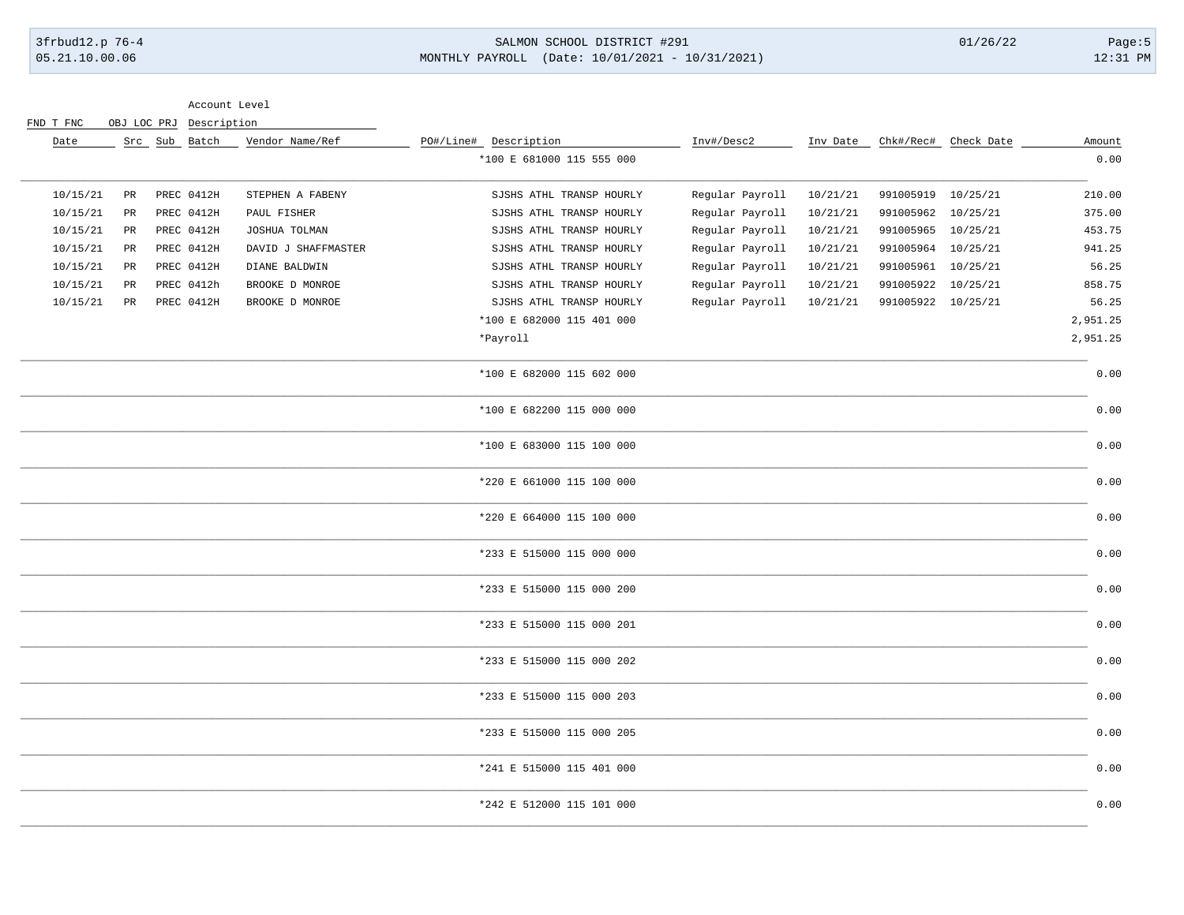## 3frbud12.p 76-4 SALMON SCHOOL DISTRICT #291 01/26/22 Page:5 05.21.10.00.06 MONTHLY PAYROLL (Date: 10/01/2021 - 10/31/2021) 12:31 PM

Account Level

|  | FND T FNC |  | OBJ LOC PRJ Description |
|--|-----------|--|-------------------------|
|  |           |  |                         |

| Date     |             | Src Sub Batch | Vendor Name/Ref     | PO#/Line# Description     | Inv#/Desc2      | Inv Date |                    | Chk#/Rec# Check Date | Amount   |
|----------|-------------|---------------|---------------------|---------------------------|-----------------|----------|--------------------|----------------------|----------|
|          |             |               |                     | *100 E 681000 115 555 000 |                 |          |                    |                      | 0.00     |
| 10/15/21 | $_{\rm PR}$ | PREC 0412H    | STEPHEN A FABENY    | SJSHS ATHL TRANSP HOURLY  | Regular Payroll | 10/21/21 | 991005919          | 10/25/21             | 210.00   |
| 10/15/21 | PR          | PREC 0412H    | PAUL FISHER         | SJSHS ATHL TRANSP HOURLY  | Regular Payroll | 10/21/21 | 991005962 10/25/21 |                      | 375.00   |
| 10/15/21 | $_{\rm PR}$ | PREC 0412H    | JOSHUA TOLMAN       | SJSHS ATHL TRANSP HOURLY  | Regular Payroll | 10/21/21 | 991005965          | 10/25/21             | 453.75   |
| 10/15/21 | $_{\rm PR}$ | PREC 0412H    | DAVID J SHAFFMASTER | SJSHS ATHL TRANSP HOURLY  | Regular Payroll | 10/21/21 | 991005964 10/25/21 |                      | 941.25   |
| 10/15/21 | PR          | PREC 0412H    | DIANE BALDWIN       | SJSHS ATHL TRANSP HOURLY  | Regular Payroll | 10/21/21 | 991005961 10/25/21 |                      | 56.25    |
| 10/15/21 | PR          | PREC 0412h    | BROOKE D MONROE     | SJSHS ATHL TRANSP HOURLY  | Regular Payroll | 10/21/21 | 991005922          | 10/25/21             | 858.75   |
| 10/15/21 | $_{\rm PR}$ | PREC 0412H    | BROOKE D MONROE     | SJSHS ATHL TRANSP HOURLY  | Regular Payroll | 10/21/21 | 991005922 10/25/21 |                      | 56.25    |
|          |             |               |                     | *100 E 682000 115 401 000 |                 |          |                    |                      | 2,951.25 |
|          |             |               |                     | *Payroll                  |                 |          |                    |                      | 2,951.25 |
|          |             |               |                     | *100 E 682000 115 602 000 |                 |          |                    |                      | 0.00     |
|          |             |               |                     | *100 E 682200 115 000 000 |                 |          |                    |                      | 0.00     |
|          |             |               |                     | *100 E 683000 115 100 000 |                 |          |                    |                      | 0.00     |
|          |             |               |                     | *220 E 661000 115 100 000 |                 |          |                    |                      | 0.00     |
|          |             |               |                     | *220 E 664000 115 100 000 |                 |          |                    |                      | 0.00     |
|          |             |               |                     | *233 E 515000 115 000 000 |                 |          |                    |                      | 0.00     |
|          |             |               |                     | *233 E 515000 115 000 200 |                 |          |                    |                      | 0.00     |
|          |             |               |                     | *233 E 515000 115 000 201 |                 |          |                    |                      | 0.00     |
|          |             |               |                     | *233 E 515000 115 000 202 |                 |          |                    |                      | 0.00     |
|          |             |               |                     | *233 E 515000 115 000 203 |                 |          |                    |                      | 0.00     |
|          |             |               |                     | *233 E 515000 115 000 205 |                 |          |                    |                      | 0.00     |
|          |             |               |                     | *241 E 515000 115 401 000 |                 |          |                    |                      | 0.00     |
|          |             |               |                     | *242 E 512000 115 101 000 |                 |          |                    |                      | 0.00     |
|          |             |               |                     |                           |                 |          |                    |                      |          |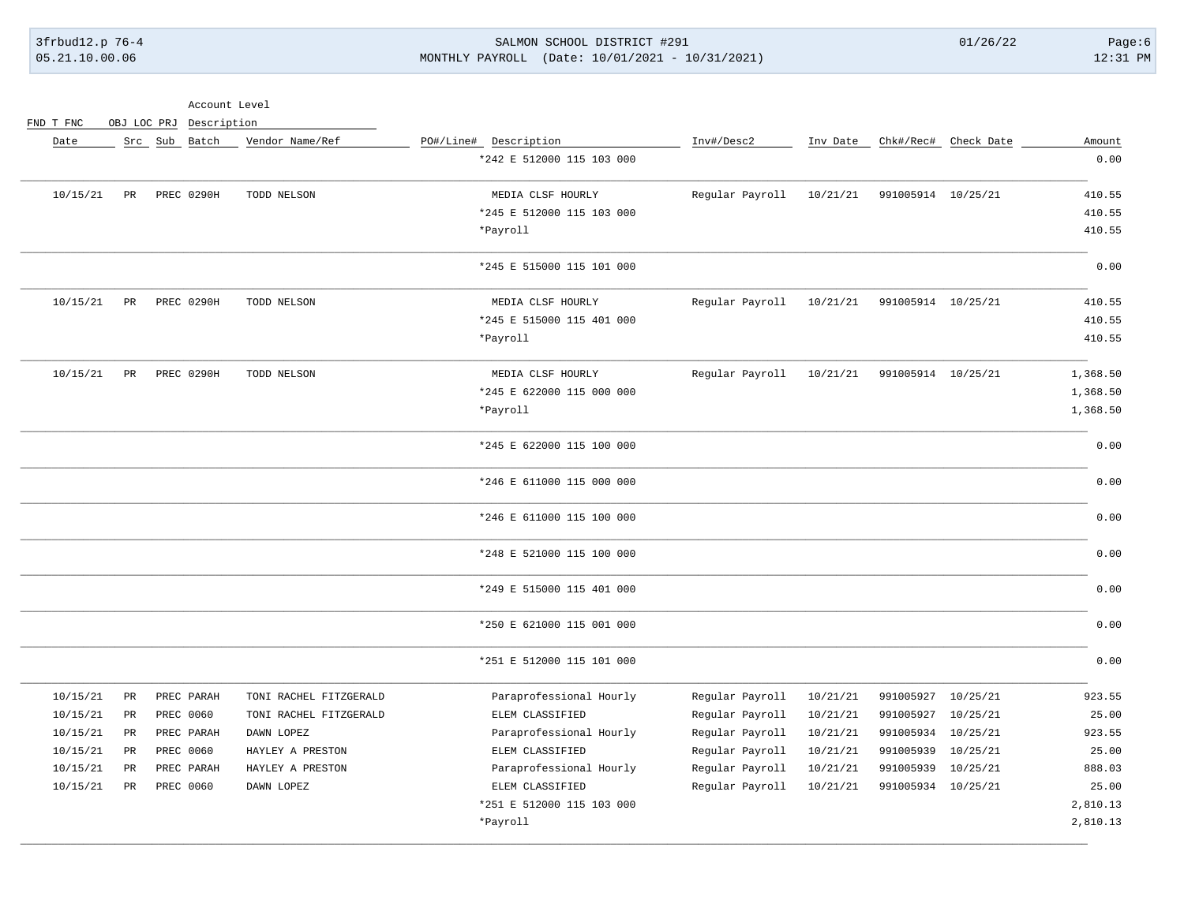## 3frbud12.p 76-4 SALMON SCHOOL DISTRICT #291 01/26/22 Page:6 05.21.10.00.06 MONTHLY PAYROLL (Date: 10/01/2021 - 10/31/2021) 12:31 PM

Account Level

FND T FNC OBJ LOC PRJ Description

| Amount   | Chk#/Rec# Check Date |                    | Inv Date | Inv#/Desc2      | PO#/Line# Description     | Vendor Name/Ref        | Src Sub Batch     |             | Date     |
|----------|----------------------|--------------------|----------|-----------------|---------------------------|------------------------|-------------------|-------------|----------|
| 0.00     |                      |                    |          |                 | *242 E 512000 115 103 000 |                        |                   |             |          |
| 410.55   |                      | 991005914 10/25/21 | 10/21/21 | Regular Payroll | MEDIA CLSF HOURLY         | TODD NELSON            | <b>PREC 0290H</b> | PR          | 10/15/21 |
| 410.55   |                      |                    |          |                 | *245 E 512000 115 103 000 |                        |                   |             |          |
| 410.55   |                      |                    |          |                 | *Payroll                  |                        |                   |             |          |
| 0.00     |                      |                    |          |                 | *245 E 515000 115 101 000 |                        |                   |             |          |
| 410.55   |                      | 991005914 10/25/21 | 10/21/21 | Regular Payroll | MEDIA CLSF HOURLY         | TODD NELSON            | PREC 0290H        | PR          | 10/15/21 |
| 410.55   |                      |                    |          |                 | *245 E 515000 115 401 000 |                        |                   |             |          |
| 410.55   |                      |                    |          |                 | *Payroll                  |                        |                   |             |          |
| 1,368.50 |                      | 991005914 10/25/21 | 10/21/21 | Regular Payroll | MEDIA CLSF HOURLY         | TODD NELSON            | PREC 0290H        | PR          | 10/15/21 |
| 1,368.50 |                      |                    |          |                 | *245 E 622000 115 000 000 |                        |                   |             |          |
| 1,368.50 |                      |                    |          |                 | *Payroll                  |                        |                   |             |          |
| 0.00     |                      |                    |          |                 | *245 E 622000 115 100 000 |                        |                   |             |          |
| 0.00     |                      |                    |          |                 | *246 E 611000 115 000 000 |                        |                   |             |          |
| 0.00     |                      |                    |          |                 | *246 E 611000 115 100 000 |                        |                   |             |          |
| 0.00     |                      |                    |          |                 | *248 E 521000 115 100 000 |                        |                   |             |          |
| 0.00     |                      |                    |          |                 | *249 E 515000 115 401 000 |                        |                   |             |          |
| 0.00     |                      |                    |          |                 | *250 E 621000 115 001 000 |                        |                   |             |          |
| 0.00     |                      |                    |          |                 | *251 E 512000 115 101 000 |                        |                   |             |          |
| 923.55   | 10/25/21             | 991005927          | 10/21/21 | Regular Payroll | Paraprofessional Hourly   | TONI RACHEL FITZGERALD | PREC PARAH        | $_{\rm PR}$ | 10/15/21 |
| 25.00    | 10/25/21             | 991005927          | 10/21/21 | Regular Payroll | ELEM CLASSIFIED           | TONI RACHEL FITZGERALD | PREC 0060         | PR          | 10/15/21 |
| 923.55   | 10/25/21             | 991005934          | 10/21/21 | Regular Payroll | Paraprofessional Hourly   | DAWN LOPEZ             | PREC PARAH        | $_{\rm PR}$ | 10/15/21 |
| 25.00    | 10/25/21             | 991005939          | 10/21/21 | Regular Payroll | ELEM CLASSIFIED           | HAYLEY A PRESTON       | PREC 0060         | PR          | 10/15/21 |
| 888.03   | 10/25/21             | 991005939          | 10/21/21 | Regular Payroll | Paraprofessional Hourly   | HAYLEY A PRESTON       | PREC PARAH        | $_{\rm PR}$ | 10/15/21 |
| 25.00    |                      | 991005934 10/25/21 | 10/21/21 | Regular Payroll | ELEM CLASSIFIED           | DAWN LOPEZ             | PREC 0060         | <b>PR</b>   | 10/15/21 |
| 2,810.13 |                      |                    |          |                 | *251 E 512000 115 103 000 |                        |                   |             |          |
| 2,810.13 |                      |                    |          |                 | *Payroll                  |                        |                   |             |          |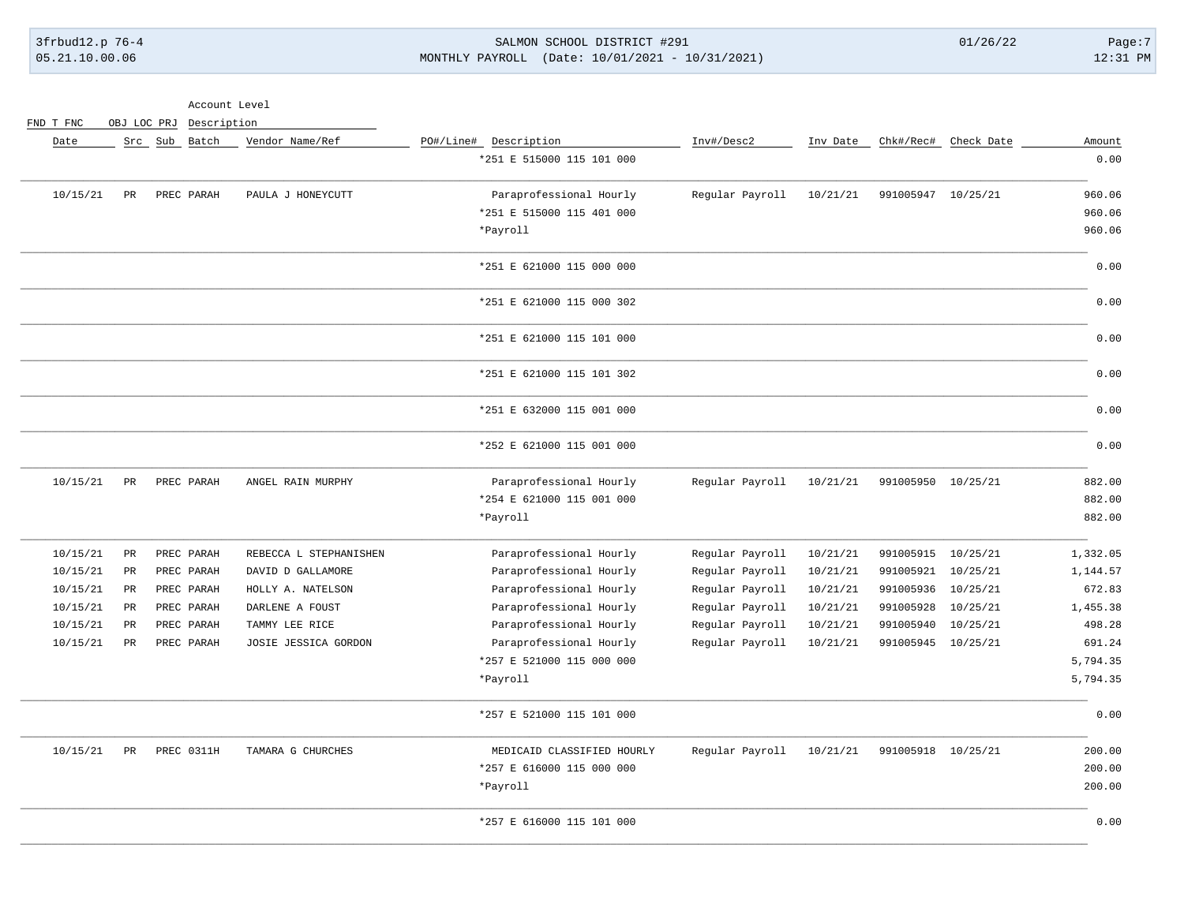### 3frbud12.p 76-4 SALMON SCHOOL DISTRICT #291 01/26/22 Page:7 05.21.10.00.06 MONTHLY PAYROLL (Date: 10/01/2021 - 10/31/2021) 12:31 PM

Account Level

FND T FNC OBJ LOC PRJ Description

| Amount   | Chk#/Rec# Check Date |                    | Inv Date | Inv#/Desc2      | PO#/Line# Description      | Vendor Name/Ref        | Src Sub Batch |             | Date     |
|----------|----------------------|--------------------|----------|-----------------|----------------------------|------------------------|---------------|-------------|----------|
| 0.00     |                      |                    |          |                 | *251 E 515000 115 101 000  |                        |               |             |          |
| 960.06   |                      | 991005947 10/25/21 | 10/21/21 | Regular Payroll | Paraprofessional Hourly    | PAULA J HONEYCUTT      | PREC PARAH    | $_{\rm PR}$ | 10/15/21 |
| 960.06   |                      |                    |          |                 | *251 E 515000 115 401 000  |                        |               |             |          |
| 960.06   |                      |                    |          |                 | *Payroll                   |                        |               |             |          |
| 0.00     |                      |                    |          |                 | *251 E 621000 115 000 000  |                        |               |             |          |
| 0.00     |                      |                    |          |                 | *251 E 621000 115 000 302  |                        |               |             |          |
| 0.00     |                      |                    |          |                 | *251 E 621000 115 101 000  |                        |               |             |          |
| 0.00     |                      |                    |          |                 | *251 E 621000 115 101 302  |                        |               |             |          |
| 0.00     |                      |                    |          |                 | *251 E 632000 115 001 000  |                        |               |             |          |
| 0.00     |                      |                    |          |                 | *252 E 621000 115 001 000  |                        |               |             |          |
| 882.00   |                      | 991005950 10/25/21 | 10/21/21 | Regular Payroll | Paraprofessional Hourly    | ANGEL RAIN MURPHY      | PREC PARAH    | PR          | 10/15/21 |
| 882.00   |                      |                    |          |                 | *254 E 621000 115 001 000  |                        |               |             |          |
| 882.00   |                      |                    |          |                 | *Payroll                   |                        |               |             |          |
| 1,332.05 | 10/25/21             | 991005915          | 10/21/21 | Regular Payroll | Paraprofessional Hourly    | REBECCA L STEPHANISHEN | PREC PARAH    | PR          | 10/15/21 |
| 1,144.57 | 10/25/21             | 991005921          | 10/21/21 | Regular Payroll | Paraprofessional Hourly    | DAVID D GALLAMORE      | PREC PARAH    | $_{\rm PR}$ | 10/15/21 |
| 672.83   | 10/25/21             | 991005936          | 10/21/21 | Regular Payroll | Paraprofessional Hourly    | HOLLY A. NATELSON      | PREC PARAH    | $_{\rm PR}$ | 10/15/21 |
| 1,455.38 | 10/25/21             | 991005928          | 10/21/21 | Regular Payroll | Paraprofessional Hourly    | DARLENE A FOUST        | PREC PARAH    | $_{\rm PR}$ | 10/15/21 |
| 498.28   | 10/25/21             | 991005940          | 10/21/21 | Regular Payroll | Paraprofessional Hourly    | TAMMY LEE RICE         | PREC PARAH    | $_{\rm PR}$ | 10/15/21 |
| 691.24   |                      | 991005945 10/25/21 | 10/21/21 | Regular Payroll | Paraprofessional Hourly    | JOSIE JESSICA GORDON   | PREC PARAH    | $_{\rm PR}$ | 10/15/21 |
| 5,794.35 |                      |                    |          |                 | *257 E 521000 115 000 000  |                        |               |             |          |
| 5,794.35 |                      |                    |          |                 | *Payroll                   |                        |               |             |          |
| 0.00     |                      |                    |          |                 | *257 E 521000 115 101 000  |                        |               |             |          |
| 200.00   |                      | 991005918 10/25/21 | 10/21/21 | Regular Payroll | MEDICAID CLASSIFIED HOURLY | TAMARA G CHURCHES      | PREC 0311H    | PR          | 10/15/21 |
| 200.00   |                      |                    |          |                 | *257 E 616000 115 000 000  |                        |               |             |          |
| 200.00   |                      |                    |          |                 | *Payroll                   |                        |               |             |          |
| 0.00     |                      |                    |          |                 | *257 E 616000 115 101 000  |                        |               |             |          |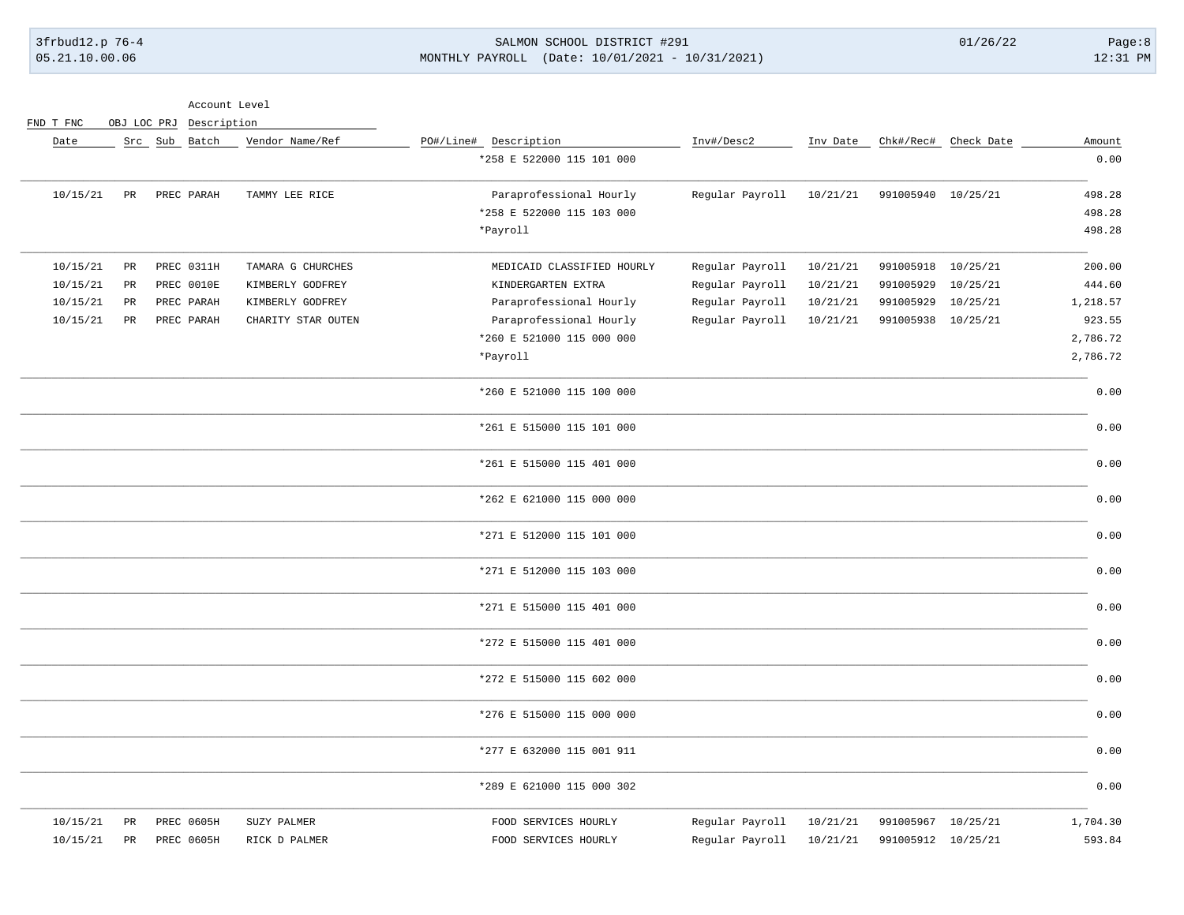### 3frbud12.p 76-4 SALMON SCHOOL DISTRICT #291 01/26/22 Page:8 05.21.10.00.06 MONTHLY PAYROLL (Date: 10/01/2021 - 10/31/2021) 12:31 PM

Account Level

FND T FNC OBJ LOC PRJ Description

| Amount   | Chk#/Rec# Check Date |                    | Inv Date | Inv#/Desc2      | PO#/Line# Description      | Vendor Name/Ref    | Src Sub Batch |                 | Date     |
|----------|----------------------|--------------------|----------|-----------------|----------------------------|--------------------|---------------|-----------------|----------|
| 0.00     |                      |                    |          |                 | *258 E 522000 115 101 000  |                    |               |                 |          |
| 498.28   |                      | 991005940 10/25/21 | 10/21/21 | Regular Payroll | Paraprofessional Hourly    | TAMMY LEE RICE     | PREC PARAH    | $\mbox{\sf PR}$ | 10/15/21 |
| 498.28   |                      |                    |          |                 | *258 E 522000 115 103 000  |                    |               |                 |          |
| 498.28   |                      |                    |          |                 | *Payroll                   |                    |               |                 |          |
| 200.00   | 10/25/21             | 991005918          | 10/21/21 | Regular Payroll | MEDICAID CLASSIFIED HOURLY | TAMARA G CHURCHES  | PREC 0311H    | $_{\rm PR}$     | 10/15/21 |
| 444.60   | 10/25/21             | 991005929          | 10/21/21 | Regular Payroll | KINDERGARTEN EXTRA         | KIMBERLY GODFREY   | PREC 0010E    | PR              | 10/15/21 |
| 1,218.57 | 10/25/21             | 991005929          | 10/21/21 | Regular Payroll | Paraprofessional Hourly    | KIMBERLY GODFREY   | PREC PARAH    | $_{\rm PR}$     | 10/15/21 |
| 923.55   | 10/25/21             | 991005938          | 10/21/21 | Regular Payroll | Paraprofessional Hourly    | CHARITY STAR OUTEN | PREC PARAH    | $_{\rm PR}$     | 10/15/21 |
| 2,786.72 |                      |                    |          |                 | *260 E 521000 115 000 000  |                    |               |                 |          |
| 2,786.72 |                      |                    |          |                 | *Payroll                   |                    |               |                 |          |
| 0.00     |                      |                    |          |                 | *260 E 521000 115 100 000  |                    |               |                 |          |
| 0.00     |                      |                    |          |                 | *261 E 515000 115 101 000  |                    |               |                 |          |
| 0.00     |                      |                    |          |                 | *261 E 515000 115 401 000  |                    |               |                 |          |
| 0.00     |                      |                    |          |                 | *262 E 621000 115 000 000  |                    |               |                 |          |
| 0.00     |                      |                    |          |                 | *271 E 512000 115 101 000  |                    |               |                 |          |
| 0.00     |                      |                    |          |                 | *271 E 512000 115 103 000  |                    |               |                 |          |
| 0.00     |                      |                    |          |                 | *271 E 515000 115 401 000  |                    |               |                 |          |
| 0.00     |                      |                    |          |                 | *272 E 515000 115 401 000  |                    |               |                 |          |
| 0.00     |                      |                    |          |                 | *272 E 515000 115 602 000  |                    |               |                 |          |
| 0.00     |                      |                    |          |                 | *276 E 515000 115 000 000  |                    |               |                 |          |
| 0.00     |                      |                    |          |                 | *277 E 632000 115 001 911  |                    |               |                 |          |
| 0.00     |                      |                    |          |                 | *289 E 621000 115 000 302  |                    |               |                 |          |
| 1,704.30 | 10/25/21             | 991005967          | 10/21/21 | Regular Payroll | FOOD SERVICES HOURLY       | SUZY PALMER        | PREC 0605H    | PR              | 10/15/21 |
| 593.84   |                      | 991005912 10/25/21 | 10/21/21 | Regular Payroll | FOOD SERVICES HOURLY       | RICK D PALMER      | PREC 0605H    | $_{\rm PR}$     | 10/15/21 |